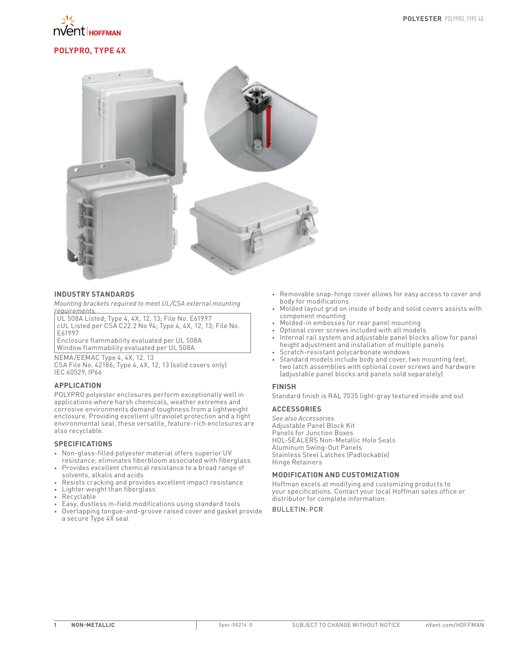

# **POLYPRO, TYPE 4X**



## **INDUSTRY STANDARDS**

*Mounting brackets required to meet UL/CSA external mounting requirements.*

UL 508A Listed; Type 4, 4X, 12, 13; File No. E61997 cUL Listed per CSA C22.2 No 94; Type 4, 4X, 12, 13; File No. E61997

Enclosure flammability evaluated per UL 508A Window flammability evaluated per UL 508A

NEMA/EEMAC Type 4, 4X, 12, 13 CSA File No. 42186; Type 4, 4X, 12, 13 (solid covers only) IEC 60529, IP66

## **APPLICATION**

POLYPRO polyester enclosures perform exceptionally well in applications where harsh chemicals, weather extremes and corrosive environments demand toughness from a lightweight enclosure. Providing excellent ultraviolet protection and a tight environmental seal, these versatile, feature-rich enclosures are also recyclable.

## **SPECIFICATIONS**

- Non-glass-filled polyester material offers superior UV
- resistance; eliminates fiberbloom associated with fiberglass • Provides excellent chemical resistance to a broad range of solvents, alkalis and acids
- Resists cracking and provides excellent impact resistance
- Lighter weight than fiberglass
- Recyclable
- Easy, dustless in-field modifications using standard tools
- Overlapping tongue-and-groove raised cover and gasket provide a secure Type 4X seal
- Removable snap-hinge cover allows for easy access to cover and body for modifications
- Molded layout grid on inside of body and solid covers assists with component mounting
- Molded-in embosses for rear panel mounting
- Optional cover screws included with all models
- Internal rail system and adjustable panel blocks allow for panel height adjustment and installation of multiple panels
- Scratch-resistant polycarbonate windows
- Standard models include body and cover, two mounting feet, two latch assemblies with optional cover screws and hardware (adjustable panel blocks and panels sold separately)

## **FINISH**

Standard finish is RAL 7035 light-gray textured inside and out

## **ACCESSORIES**

*See also Accessories.* Adjustable Panel Block Kit Panels for Junction Boxes HOL-SEALERS Non-Metallic Hole Seals Aluminum Swing-Out Panels Stainless Steel Latches (Padlockable) Hinge Retainers

## **MODIFICATION AND CUSTOMIZATION**

Hoffman excels at modifying and customizing products to your specifications. Contact your local Hoffman sales office or distributor for complete information.

BULLETIN: PCR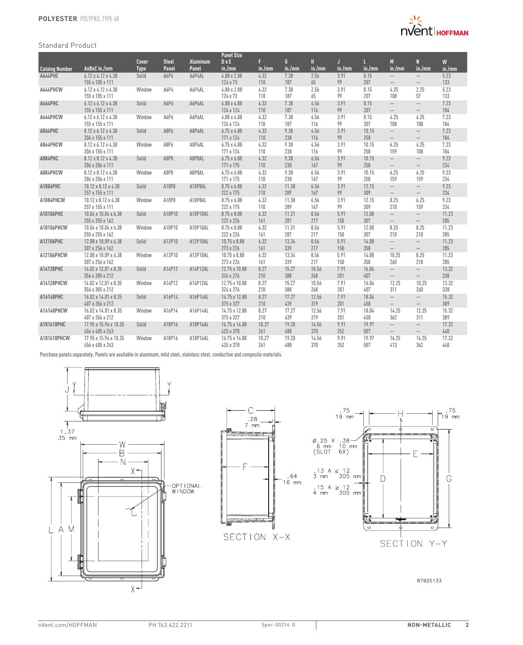

## Standard Product

|                       |                                                   |             |              |                 | <b>Panel Size</b>               |              |              |              |             |              |                                               |                                 |              |
|-----------------------|---------------------------------------------------|-------------|--------------|-----------------|---------------------------------|--------------|--------------|--------------|-------------|--------------|-----------------------------------------------|---------------------------------|--------------|
|                       |                                                   | Cover       | <b>Steel</b> | <b>Aluminum</b> | $D \times E$                    | F.           | G            | H            | Л           |              | M                                             | N                               | W            |
| <b>Catalog Number</b> | AxBxC in./mm                                      | <b>Type</b> | Panel        | Panel           | in./mm                          | in./mm       | in./mm       | in./mm       | in./mm      | in./mm       | in./mm                                        | in./mm                          | in./mm       |
| A644PHC               | $6.12 \times 4.12 \times 4.38$                    | Solid       | A6P4         | A6P4AL          | 4.88 x 2.88                     | 4.32         | 7.38         | 2.56         | 3.91        | 8.15         | $\overline{\phantom{0}}$                      | $\qquad \qquad -$               | 5.23         |
|                       | 155 x 105 x 111                                   |             |              |                 | 124 x 73                        | 110          | 187          | 65           | 99          | 207          | $\qquad \qquad -$                             | $\overline{\phantom{m}}$        | 133          |
| A644PHCW              | $6.12 \times 4.12 \times 4.38$                    | Window      | A6P4         | A6P4AL          | 4.88 x 2.88                     | 4.32         | 7.38         | 2.56         | 3.91        | 8.15         | 4.25                                          | 2.25                            | 5.23         |
|                       | 155 x 105 x 111                                   |             |              |                 | 124 x 73                        | 110          | 187          | 65           | 99          | 207          | 108                                           | 57                              | 133          |
| A664PHC               | $6.12 \times 6.12 \times 4.38$<br>155 x 155 x 111 | Solid       | A6P6         | A6P6AL          | 4.88 x 4.88<br>124 x 124        | 4.32<br>110  | 7.38<br>187  | 4.56<br>116  | 3.91<br>99  | 8.15<br>207  | $\overline{\phantom{0}}$<br>$\qquad \qquad -$ | $\overline{\phantom{m}}$<br>$-$ | 7.23<br>184  |
| A664PHCW              | 6.12 x 6.12 x 4.38<br>155 x 155 x 111             | Window      | A6P6         | A6P6AL          | 4.88 x 4.88<br>124 x 124        | 4.32<br>110  | 7.38<br>187  | 4.56<br>116  | 3.91<br>99  | 8.15<br>207  | 4.25<br>108                                   | 4.25<br>108                     | 7.23<br>184  |
| A864PHC               | 8.12 x 6.12 x 4.38                                | Solid       | A8P6         | A8P6AL          | $6.75 \times 4.88$              | 4.32         | 9.38         | 4.56         | 3.91        | 10.15        | $\overline{\phantom{0}}$                      | $\overline{\phantom{0}}$        | 7.23         |
|                       | 206 x 155 x 111                                   |             |              |                 | 171 x 124                       | 110          | 238          | 116          | 99          | 258          | $\overline{\phantom{0}}$                      | $\overline{\phantom{0}}$        | 184          |
| A864PHCW              | 8.12 x 6.12 x 4.38<br>206 x 155 x 111             | Window      | A8P6         | A8P6AL          | $6.75 \times 4.88$<br>171 x 124 | 4.32<br>110  | 9.38<br>238  | 4.56<br>116  | 3.91<br>99  | 10.15<br>258 | 6.25<br>159                                   | 4.25<br>108                     | 7.23<br>184  |
| A884PHC               | 8.12 x 8.12 x 4.38                                | Solid       | A8P8         | A8P8AL          | $6.75 \times 6.88$              | 4.32         | 9.38         | 6.56         | 3.91        | 10.15        | $\overline{\phantom{0}}$                      | $\qquad \qquad -$               | 9.23         |
|                       | 206 x 206 x 111                                   |             |              |                 | 171 x 175                       | 110          | 238          | 167          | 99          | 258          |                                               | $\overline{\phantom{0}}$        | 234          |
| A884PHCW              | 8.12 x 8.12 x 4.38                                | Window      | A8P8         | A8P8AL          | $6.75 \times 6.88$              | 4.32         | 9.38         | 6.56         | 3.91        | 10.15        | 6.25                                          | 6.25                            | 9.23         |
|                       | 206 x 206 x 111                                   |             |              |                 | 171 x 175                       | 110          | 238          | 167          | 99          | 258          | 159                                           | 159                             | 234          |
| A1084PHC              | 10.12 x 8.12 x 4.38                               | Solid       | A10P8        | A10P8AL         | 8.75 x 6.88                     | 4.32         | 11.38        | 6.56         | 3.91        | 12.15        | $\overline{\phantom{0}}$                      | $\overline{\phantom{0}}$        | 9.23         |
|                       | 257 x 155 x 111                                   |             |              |                 | 222 x 175                       | 110          | 289          | 167          | 99          | 309          | $\overline{\phantom{0}}$                      | $\overline{\phantom{0}}$        | 234          |
| A1084PHCW             | 10.12 x 8.12 x 4.38                               | Window      | A10P8        | A10P8AL         | 8.75 x 6.88                     | 4.32         | 11.38        | 6.56         | 3.91        | 12.15        | 8.25                                          | 6.25                            | 9.23         |
|                       | 257 x 155 x 111                                   |             |              |                 | 222 x 175                       | 110          | 289          | 167          | 99          | 309          | 210                                           | 159                             | 234          |
| A10106PHC             | 10.04 x 10.04 x 6.38                              | Solid       | A10P10       | A10P10AL        | 8.75 x 8.88                     | 6.32         | 11.31        | 8.56         | 5.91        | 12.08        | $\overline{\phantom{0}}$                      | $\overline{\phantom{0}}$        | 11.23        |
|                       | 255 x 255 x 162                                   |             |              |                 | 222 x 226                       | 161          | 287          | 217          | 150         | 307          |                                               | $\overline{\phantom{0}}$        | 285          |
| A10106PHCW            | 10.04 x 10.04 x 6.38                              | Window      | A10P10       | A10P10AL        | 8.75 x 8.88                     | 6.32         | 11.31        | 8.56         | 5.91        | 12.08        | 8.25                                          | 8.25                            | 11.23        |
|                       | 255 x 255 x 162                                   |             |              |                 | 222 x 226                       | 161          | 287          | 217          | 150         | 307          | 210                                           | 210                             | 285          |
| A12106PHC             | 12.08 x 10.09 x 6.38                              | Solid       | A12P10       | A12P10AL        | 10.75 x 8.88                    | 6.32         | 13.34<br>339 | 8.56         | 5.91        | 14.08        | $\overline{\phantom{0}}$                      | $\overline{\phantom{0}}$        | 11.23        |
|                       | 307 x 256 x 162                                   |             |              |                 | 273 x 226                       | 161          |              | 217          | 150         | 358          | $\overline{\phantom{0}}$                      | $\overline{\phantom{0}}$        | 285          |
| A12106PHCW            | 12.08 x 10.09 x 6.38<br>307 x 256 x 162           | Window      | A12P10       | A12P10AL        | 10.75 x 8.88<br>273 x 226       | 6.32<br>161  | 13.34<br>339 | 8.56<br>217  | 5.91<br>150 | 14.08<br>358 | 10.25<br>260                                  | 8.25<br>210                     | 11.23<br>285 |
| A14128PHC             | 14.02 x 12.01 x 8.35                              | Solid       | A14P12       | A14P12AL        | 12.75 x 10.88                   | 8.27         | 15.27        | 10.56        | 7.91        | 16.04        | $\overline{\phantom{0}}$                      | $\qquad \qquad -$               | 13.32        |
|                       | 356 x 305 x 212                                   |             |              |                 | 324 x 276                       | 210          | 388          | 268          | 201         | 407          | $-$                                           | $\overline{\phantom{0}}$        | 338          |
| A14128PHCW            | 14.02 x 12.01 x 8.35                              | Window      | A14P12       | A14P12AL        | 12.75 x 10.88                   | 8.27         | 15.27        | 10.56        | 7.91        | 16.04        | 12.25                                         | 10.25                           | 13.32        |
|                       | 356 x 305 x 212                                   |             |              |                 | 324 x 276                       | 210          | 388          | 268          | 201         | 407          | 311                                           | 260                             | 338          |
| A16148PHC             | 16.02 x 14.01 x 8.35                              | Solid       | A16P14       | A16P14AL        | 14.75 x 12.88                   | 8.27         | 17.27        | 12.56        | 7.91        | 18.04        | $-$                                           | $\overline{\phantom{m}}$        | 15.32        |
|                       | 407 x 356 x 212                                   |             |              |                 | 375 x 327                       | 210          | 439          | 319          | 201         | 458          | $\qquad \qquad -$                             | $-$                             | 389          |
| A16148PHCW            | 16.02 x 14.01 x 8.35                              | Window      | A16P14       | A16P14AL        | 14.75 x 12.88                   | 8.27         | 17.27        | 12.56        | 7.91        | 18.04        | 14.25                                         | 12.25                           | 15.32        |
|                       | 407 x 356 x 212                                   |             |              |                 | 375 x 327                       | 210          | 439          | 319          | 201         | 458          | 362                                           | 311                             | 389          |
| A181610PHC            | 17.95 x 15.94 x 10.35                             | Solid       | A18P16       | A18P16AL        | 16.75 x 14.88                   | 10.27        | 19.20        | 14.56        | 9.91        | 19.97        | $\overline{\phantom{0}}$                      | $\overline{\phantom{0}}$        | 17.32        |
|                       | 456 x 405 x 263                                   |             |              |                 | 425 x 378                       | 261          | 488          | 370          | 252         | 507          | $\qquad \qquad -$                             | $\overline{\phantom{m}}$        | 440          |
| A181610PHCW           | 17.95 x 15.94 x 10.35<br>456 x 405 x 263          | Window      | A18P16       | A18P16AL        | 16.75 x 14.88<br>425 x 378      | 10.27<br>261 | 19.20<br>488 | 14.56<br>370 | 9.91<br>252 | 19.97<br>507 | 16.25<br>413                                  | 14.25<br>362                    | 17.32<br>440 |

Purchase panels separately. Panels are available in aluminum, mild steel, stainless steel, conductive and composite materials.







87925133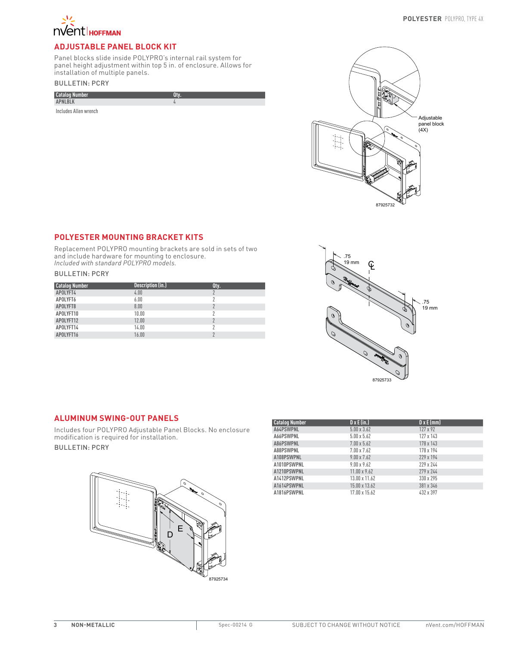

# **ADJUSTABLE PANEL BLOCK KIT**

Panel blocks slide inside POLYPRO's internal rail system for panel height adjustment within top 5 in. of enclosure. Allows for installation of multiple panels.

# BULLETIN: PCRY

| <b>Catalog Number</b> |  |
|-----------------------|--|
| <b>APNLBLK</b>        |  |
| Includes Allen wrench |  |



# **POLYESTER MOUNTING BRACKET KITS**

Replacement POLYPRO mounting brackets are sold in sets of two and include hardware for mounting to enclosure. *Included with standard POLYPRO models.*

## BULLETIN: PCRY

| <b>Catalog Number</b> | Description (in.) | Qty. |
|-----------------------|-------------------|------|
| APOLYFT4              | 4.00              |      |
| APOLYFT6              | 6.00              |      |
| APOLYFT8              | 8.00              | ŋ    |
| APOLYFT10             | 10.00             |      |
| APOLYFT12             | 12.00             | ŋ    |
| APOLYFT14             | 14.00             |      |
| APOLYFT16             | 16.00             |      |



# **ALUMINUM SWING-OUT PANELS**

Includes four POLYPRO Adjustable Panel Blocks. No enclosure modification is required for installation.

## BULLETIN: PCRY



| <b>Catalog Number</b> | $D \times E$ (in.)  | $D \times E$ (mm) |
|-----------------------|---------------------|-------------------|
| A64PSWPNL             | $5.00 \times 3.62$  | 127 x 92          |
| A66PSWPNL             | $5.00 \times 5.62$  | 127 x 143         |
| A86PSWPNL             | $7.00 \times 5.62$  | 178 x 143         |
| A88PSWPNL             | 7.00 x 7.62         | 178 x 194         |
| A108PSWPNL            | $9.00 \times 7.62$  | 229 x 194         |
| A1010PSWPNL           | $9.00 \times 9.62$  | 229 x 244         |
| A1210PSWPNL           | $11.00 \times 9.62$ | 279 x 244         |
| A1412PSWPNL           | 13.00 x 11.62       | 330 x 295         |
| A1614PSWPNL           | 15.00 x 13.62       | 381 x 346         |
| A1816PSWPNL           | 17.00 x 15.62       | 432 x 397         |